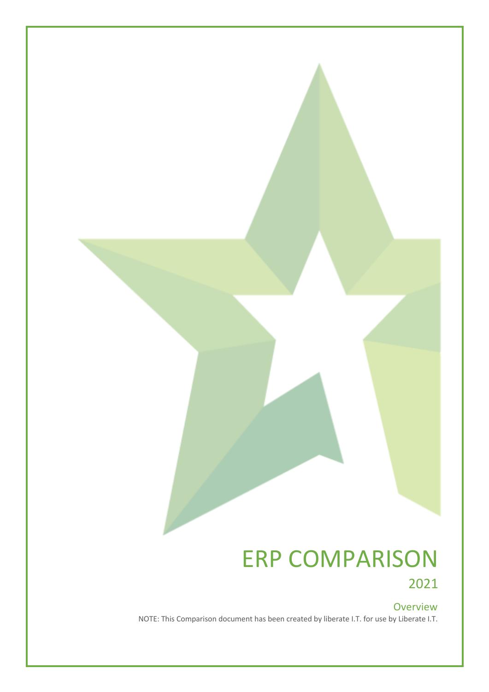## ERP COMPARISON 2021

## Overview

NOTE: This Comparison document has been created by liberate I.T. for use by Liberate I.T.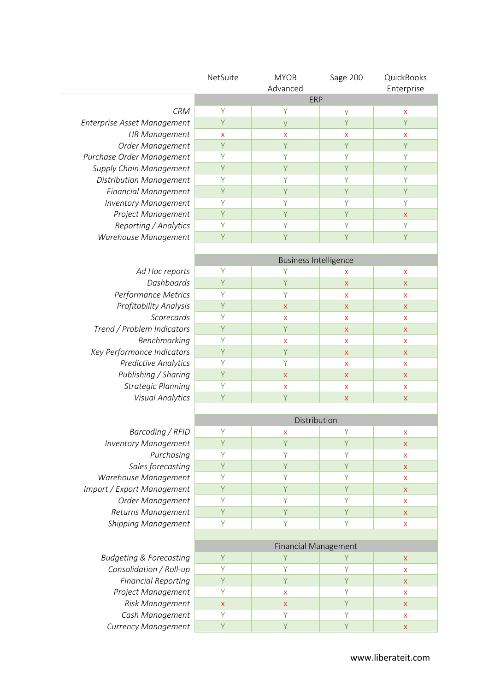|                                    | NetSuite           | <b>MYOB</b>                  | Sage 200                  | QuickBooks         |
|------------------------------------|--------------------|------------------------------|---------------------------|--------------------|
|                                    |                    | Advanced                     |                           | Enterprise         |
|                                    |                    | ERP                          |                           |                    |
| <b>CRM</b>                         | Υ                  | Υ                            | У                         | X                  |
| Enterprise Asset Management        | Y                  | y                            | Y                         | Y                  |
| <b>HR Management</b>               | X                  | $\boldsymbol{\mathsf{x}}$    | X                         | X                  |
| Order Management                   | Y                  | Y                            | Ÿ                         | Y                  |
| Purchase Order Management          | Y                  | Y                            | Y                         | Υ                  |
| Supply Chain Management            | Y                  | Y                            | Y                         | Υ                  |
| Distribution Management            | Υ                  | Y                            | Y                         | Υ                  |
| <b>Financial Management</b>        | Y                  | Y                            | Y                         | Y                  |
| <b>Inventory Management</b>        | Υ                  | Y                            | Y                         | Υ                  |
| Project Management                 | Y                  | Y                            | Y                         | $\mathsf X$        |
| Reporting / Analytics              | Y                  | Y                            | Y                         | Y                  |
| Warehouse Management               | Y                  | Y                            | Y                         | Y                  |
|                                    |                    |                              |                           |                    |
|                                    |                    | <b>Business Intelligence</b> |                           |                    |
| Ad Hoc reports                     | Υ                  | Υ                            | X                         | $\pmb{\mathsf{X}}$ |
| Dashboards                         | Y                  | Y                            | $\pmb{\mathsf{X}}$        | $\mathsf X$        |
| Performance Metrics                | Υ                  | Y                            | X                         | $\pmb{\mathsf{X}}$ |
| Profitability Analysis             | Υ                  | X                            | $\mathsf{X}$              | $\pmb{\times}$     |
| Scorecards                         | Υ                  | x                            | $\boldsymbol{\mathsf{x}}$ | $\pmb{\mathsf{X}}$ |
| Trend / Problem Indicators         | Y                  | Y                            | $\pmb{\mathsf{X}}$        | $\mathsf X$        |
| Benchmarking                       | Υ                  | X                            | $\boldsymbol{\mathsf{x}}$ | $\pmb{\mathsf{X}}$ |
| Key Performance Indicators         | Υ                  | Y                            | $\pmb{\mathsf{X}}$        | $\mathsf X$        |
| <b>Predictive Analytics</b>        | Υ                  | Y                            | X                         | $\pmb{\mathsf{X}}$ |
| Publishing / Sharing               | Y                  | X                            | $\pmb{\times}$            | $\pmb{\mathsf{X}}$ |
| <b>Strategic Planning</b>          | Υ                  | X                            | X                         | $\mathsf{x}$       |
| <b>Visual Analytics</b>            | Y                  | Y                            | $\pmb{\times}$            | $\pmb{\mathsf{X}}$ |
|                                    |                    |                              |                           |                    |
|                                    |                    | Distribution                 |                           |                    |
| Barcoding / RFID                   | Y                  | X                            | Υ                         | $\pmb{\mathsf{X}}$ |
| <b>Inventory Management</b>        | Y                  | Y                            | Y                         | Χ                  |
| Purchasing                         | Υ                  | Υ                            | Y                         | $\pmb{\mathsf{X}}$ |
| Sales forecasting                  | Y                  | Ÿ                            | Ÿ                         | $\pmb{\times}$     |
| Warehouse Management               | Υ                  | Y                            | Y                         | $\pmb{\mathsf{X}}$ |
| Import / Export Management         | Υ                  | Y                            | Y                         | $\pmb{\times}$     |
| Order Management                   | Υ                  | Y                            | Y                         | $\pmb{\mathsf{X}}$ |
| Returns Management                 | Y                  | Y                            | Y                         | $\pmb{\mathsf{X}}$ |
| <b>Shipping Management</b>         | Υ                  | Y                            | Y                         | $\pmb{\mathsf{X}}$ |
|                                    |                    |                              |                           |                    |
|                                    |                    | <b>Financial Management</b>  |                           |                    |
| <b>Budgeting &amp; Forecasting</b> | Y                  | Y                            | Y                         | X                  |
| Consolidation / Roll-up            | Υ                  | Y                            | Y                         | $\pmb{\mathsf{X}}$ |
| <b>Financial Reporting</b>         | Y                  | Y                            | Y                         | $\mathsf X$        |
| Project Management                 | Υ                  | X                            | Y                         | $\pmb{\mathsf{X}}$ |
| Risk Management                    | $\pmb{\mathsf{X}}$ | $\mathsf X$                  | Y                         | $\mathsf X$        |
| Cash Management                    | Υ                  | Y                            | Y                         | $\pmb{\mathsf{X}}$ |
| Currency Management                | Y                  | Y                            | Y                         | $\pmb{\times}$     |
|                                    |                    |                              |                           |                    |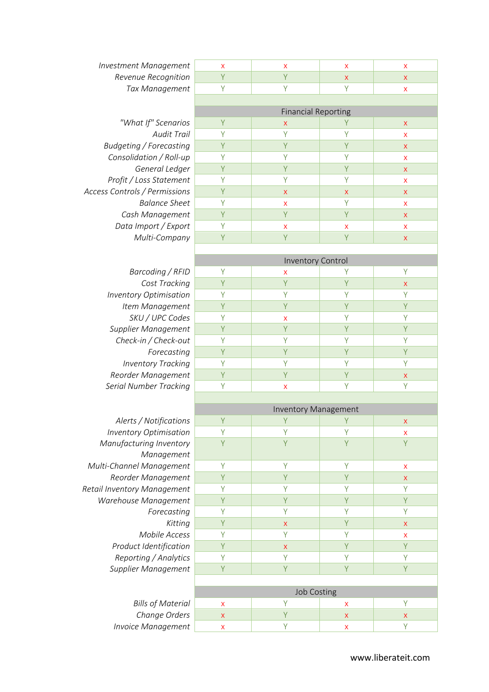| <b>Investment Management</b>   | X                         | X                          | X                         | X                         |  |
|--------------------------------|---------------------------|----------------------------|---------------------------|---------------------------|--|
| Revenue Recognition            | Y                         | Y                          | $\pmb{\mathsf{X}}$        | $\pmb{\times}$            |  |
| Tax Management                 | Υ                         | Y                          | Υ                         | X                         |  |
|                                |                           |                            |                           |                           |  |
|                                |                           | <b>Financial Reporting</b> |                           |                           |  |
| "What If" Scenarios            | Υ                         | X                          | Y                         | X                         |  |
| <b>Audit Trail</b>             | Y                         | Y                          | Y                         | X                         |  |
| <b>Budgeting / Forecasting</b> | Y                         | Y                          | Υ                         | $\pmb{\times}$            |  |
| Consolidation / Roll-up        | Y                         | Y                          | Y                         | X                         |  |
| General Ledger                 | Y                         | Y                          | Y                         | $\mathsf{x}$              |  |
| Profit / Loss Statement        | Y                         | Y                          | Y                         | X                         |  |
| Access Controls / Permissions  | Y                         | X                          | X                         | X                         |  |
| <b>Balance Sheet</b>           | Υ                         | X                          | Y                         | X                         |  |
| Cash Management                | Y                         | Y                          | Y                         | $\mathsf{X}$              |  |
| Data Import / Export           | Y                         | $\boldsymbol{\mathsf{x}}$  | X                         | X                         |  |
| Multi-Company                  | Y                         | Y                          | Y                         | $\pmb{\times}$            |  |
|                                |                           |                            |                           |                           |  |
|                                |                           | <b>Inventory Control</b>   |                           |                           |  |
| Barcoding / RFID               | Υ                         | X                          | Υ                         | Υ                         |  |
| Cost Tracking                  | Y                         | Y                          | Y                         | $\pmb{\times}$            |  |
| <b>Inventory Optimisation</b>  | Y                         | Y                          | Ÿ                         | Y                         |  |
| Item Management                | Y                         | Y                          | Y                         | Y                         |  |
| SKU / UPC Codes                | Υ                         | x                          | Υ                         | Y                         |  |
| Supplier Management            | Y                         | Y                          | Y                         | Y                         |  |
| Check-in / Check-out           | Υ                         | Y                          | Υ                         | Υ                         |  |
| Forecasting                    | Y                         | Y                          | Ÿ                         | Y                         |  |
| <b>Inventory Tracking</b>      | Y                         | Y                          | Y                         | Y                         |  |
| Reorder Management             | Y                         | Y                          | Υ                         | $\boldsymbol{\mathsf{X}}$ |  |
| <b>Serial Number Tracking</b>  | Y                         | X                          | Y                         | Y                         |  |
|                                |                           |                            |                           |                           |  |
|                                |                           | Inventory Management       |                           |                           |  |
| Alerts / Notifications         | Y                         | Y                          | Υ                         | X                         |  |
| <b>Inventory Optimisation</b>  | Y                         | Y                          | Y                         | X                         |  |
| Manufacturing Inventory        | Ÿ                         | Y                          | Ÿ                         | Y                         |  |
| Management                     |                           |                            |                           |                           |  |
| Multi-Channel Management       | Y                         | Y                          | Y                         | X                         |  |
| Reorder Management             | Y                         | Y                          | Y                         | X                         |  |
| Retail Inventory Management    | Y                         | Y                          | Y                         | Y                         |  |
| Warehouse Management           | Y                         | Y                          | Y                         | Y                         |  |
| Forecasting                    | Y                         | Y                          | Ÿ                         | Y                         |  |
| Kitting                        | Y                         | $\pmb{\mathsf{X}}$         | Y                         | $\pmb{\times}$            |  |
| Mobile Access                  | Υ                         | Y                          | Υ                         | X                         |  |
| Product Identification         | Y                         | $\boldsymbol{\mathsf{X}}$  | Y                         | Y                         |  |
| Reporting / Analytics          | Υ                         | Y                          | Υ                         | Y                         |  |
| Supplier Management            | Y                         | Y                          | Y                         | Y                         |  |
|                                |                           |                            |                           |                           |  |
|                                | <b>Job Costing</b>        |                            |                           |                           |  |
| <b>Bills of Material</b>       | X                         | Y                          | X                         | Y                         |  |
| Change Orders                  | $\mathsf X$               | Y                          | $\pmb{\mathsf{X}}$        | $\pmb{\mathsf{X}}$        |  |
| <b>Invoice Management</b>      | $\boldsymbol{\mathsf{x}}$ | Y                          | $\boldsymbol{\mathsf{x}}$ | Y                         |  |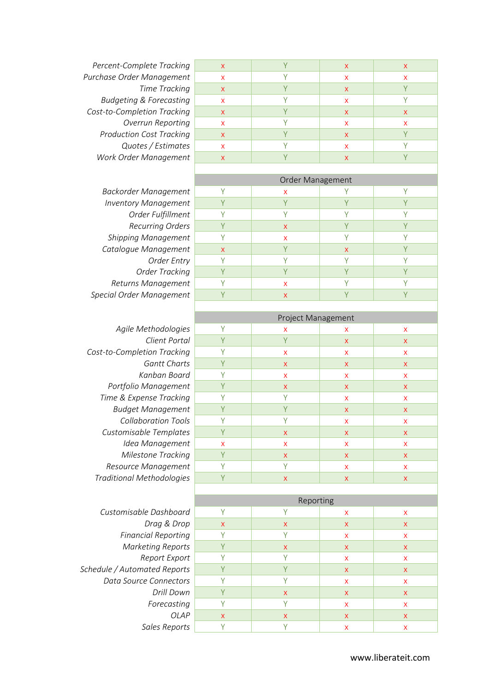**Percent-Complete Tracking Purchase Order Management Time Tracking Budgeting & Forecasting Cost-to-Completion Tracking Overrun Reporting Production Cost Tracking Quotes / Estimates Work Order Management** 

Agile Methodologies **Client Portal Cost-to-Completion Tracking Gantt Charts Kanban Board** *Portfolio Management* **Time & Expense Tracking Budget Management** *Collaboration Tools* **Customisable Templates Idea Management** *Milestone Tracking* **Resource Management Traditional Methodologies** 

**Customisable Dashboa** *Drag & Drc* **Financial Reporting Marketing Report Report** Expo *Schedule / Automated Reports* **Data Source Connectors** *Forecastir* **Sales Report** 

| $\mathsf{X}$ | $\sqrt{}$    | X            | X         |
|--------------|--------------|--------------|-----------|
| X            | $\sqrt{}$    | X            | X         |
| $\mathsf{X}$ | $\sqrt{}$    | X            | $\sqrt{}$ |
| X            | $\checkmark$ | X            | $\sqrt{}$ |
| X            | $\sqrt{}$    | X            | X         |
| X            | $\checkmark$ | X            | X         |
| X            | $\sqrt{}$    | X            |           |
| X            |              | x            |           |
| X            |              | $\mathsf{x}$ |           |
|              |              |              |           |

Order Management *Backorder Management*  $\begin{array}{|c|c|c|c|c|}\n\hline\n\text{Y} & \text{X} & \text{Y} & \text{Y} \\
\hline\n\text{Inventory Management} & \text{Y} & \text{Y} & \text{Y} & \text{Y} \\
\hline\n\end{array}$ **Inventory Management Y** Y Y Y Y Y Y Y *Order Fulfillment* Y Y Y Y **Recurring Orders Y** Y **X** X Y Y Y Y **Shipping Management Y** Y **x Y** Y Y Y **Catalogue Management x x y x x y x y** *Order Entry* Y Y Y Y *Order Tracking* Y Y Y Y Y Y **Returns Management Y** Y **x** Y Y Y Y **Special Order Management Y** Y **X** X Y Y Y Y

| Project Management |                    |                    |                    |  |
|--------------------|--------------------|--------------------|--------------------|--|
| Υ                  | X                  | X                  | X                  |  |
| Y                  | Y                  | $\pmb{\mathsf{X}}$ | X                  |  |
| Υ                  | X                  | X                  | X                  |  |
| Y                  | $\pmb{\times}$     | X                  | $\pmb{\mathsf{X}}$ |  |
| Υ                  | X                  | X                  | X                  |  |
| Y                  | $\pmb{\times}$     | X                  | X                  |  |
| Υ                  | Υ                  | X                  | X                  |  |
| Y                  | Y                  | X                  | X                  |  |
| Υ                  | Υ                  | X                  | X                  |  |
| Y                  | $\pmb{\mathsf{X}}$ | X                  | X                  |  |
| X                  | X                  | X                  | X                  |  |
| Y                  | $\pmb{\times}$     | X                  | $\pmb{\times}$     |  |
| Υ                  | Υ                  | X                  | X                  |  |
| Y                  | X                  | $\pmb{\mathsf{X}}$ | $\mathsf X$        |  |

|                  | Reporting    |              |              |              |  |
|------------------|--------------|--------------|--------------|--------------|--|
| <b>Dashboard</b> | V            | v            | X            | $\mathsf{x}$ |  |
| ag & Drop        | X            | $\mathsf{x}$ | $\mathsf{X}$ | $\mathsf{X}$ |  |
| Reporting        | Υ            | γ            | X            | X            |  |
| ng Reports       | Υ            | $\mathsf{x}$ | $\mathsf{X}$ | X            |  |
| ort Export       | ٧            | ٧            | X            | X            |  |
| ed Reports       | Υ            |              | $\mathsf{X}$ | X            |  |
| Connectors       | ٧            |              | X            | X            |  |
| Drill Down       | V            | $\mathsf{x}$ | $\mathsf{X}$ | $\mathsf{x}$ |  |
| orecasting       |              | ٧            | X            | X            |  |
| <b>OLAP</b>      | $\mathsf{x}$ | $\mathsf{x}$ | X            | $\mathsf{x}$ |  |
| es Reports       | V            | V            | x            | x            |  |
|                  |              |              |              |              |  |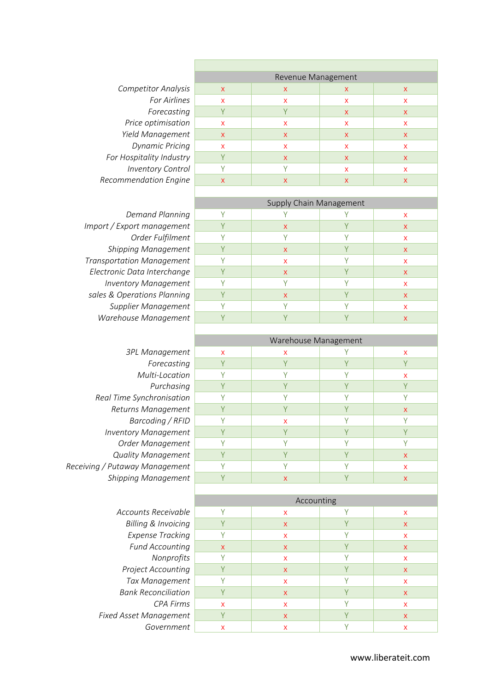**Competitor Analysis For Airlines** *Forecasting Price optimisation Yield Management* **Dynamic Pricing For Hospitality Industry** *Inventory Control*  $Recommendation$  *Engine* 

|                           | Revenue Management |                           |   |
|---------------------------|--------------------|---------------------------|---|
| X                         | X                  | X                         | X |
| X                         | X                  | X                         | X |
|                           |                    | $\mathsf{X}$              | X |
| $\boldsymbol{\mathsf{x}}$ | X                  | X                         | X |
| $\boldsymbol{\mathsf{x}}$ | X                  | X                         | X |
| X                         | X                  | X                         | X |
|                           | X                  | $\boldsymbol{\mathsf{X}}$ | X |
|                           |                    | X                         | X |
| X                         | X                  | X                         | X |
|                           |                    |                           |   |

**Demand Planning** *Import / Export management* **Order Fulfilment Shipping Management Transportation Management** *Electronic Data Interchange* **Inventory Management** sales & Operations Planning **Supplier Management** *Warehouse Management* 

| 3PL Management                 |
|--------------------------------|
| Forecasting                    |
| Multi-Location                 |
| Purchasing                     |
| Real Time Synchronisation      |
| Returns Management             |
| Barcoding / RFID               |
| <b>Inventory Management</b>    |
| Order Management               |
| <b>Quality Management</b>      |
| Receiving / Putaway Management |
| Shippina Manaaement            |

| Accounts Receivable           |
|-------------------------------|
| Billing & Invoicing           |
| <b>Expense Tracking</b>       |
| <b>Fund Accounting</b>        |
| Nonprofits                    |
| Project Accounting            |
| Tax Management                |
| Bank Reconciliation           |
| CPA Firms                     |
| <b>Fixed Asset Management</b> |
| Government                    |

|  | Supply Chain Management |  |
|--|-------------------------|--|
|  |                         |  |

|           | sappiy sham management |    |
|-----------|------------------------|----|
| $\sqrt{}$ |                        | X  |
|           | $\mathsf{x}$           | X  |
|           | $\sqrt{}$              | X  |
|           | X                      | X. |
|           | X                      | X  |
|           | $\mathsf{x}$           | X  |
|           |                        | X  |
|           | X                      | X  |
|           |                        | X  |
|           |                        | X  |
|           |                        |    |

|                                | Warehouse Management |   |  |                           |  |
|--------------------------------|----------------------|---|--|---------------------------|--|
| 3PL Management                 | X                    | x |  | X                         |  |
| Forecasting                    |                      |   |  |                           |  |
| Multi-Location                 |                      |   |  | X                         |  |
| Purchasing                     |                      |   |  |                           |  |
| Real Time Synchronisation      |                      |   |  |                           |  |
| Returns Management             |                      |   |  | X                         |  |
| Barcoding / RFID               |                      | x |  |                           |  |
| <b>Inventory Management</b>    |                      | V |  |                           |  |
| Order Management               |                      |   |  |                           |  |
| <b>Quality Management</b>      |                      |   |  | $\boldsymbol{\mathsf{x}}$ |  |
| Receiving / Putaway Management |                      |   |  | X                         |  |
| <b>Shipping Management</b>     |                      | x |  | Χ                         |  |

|                                | Accounting   |              |  |   |
|--------------------------------|--------------|--------------|--|---|
| Accounts Receivable            |              | x            |  | X |
| <b>Billing &amp; Invoicing</b> |              | $\mathsf{x}$ |  | X |
| <b>Expense Tracking</b>        | v            | x            |  | x |
| <b>Fund Accounting</b>         | $\mathsf{x}$ | $\mathsf{x}$ |  | X |
| Nonprofits                     |              | x            |  | X |
| <b>Project Accounting</b>      |              | X            |  | X |
| Tax Management                 |              | X            |  | x |
| <b>Bank Reconciliation</b>     |              | X            |  | X |
| CPA Firms                      | X            | x            |  | x |
| Fixed Asset Management         |              | X            |  | X |
| Government                     | x            | x            |  | x |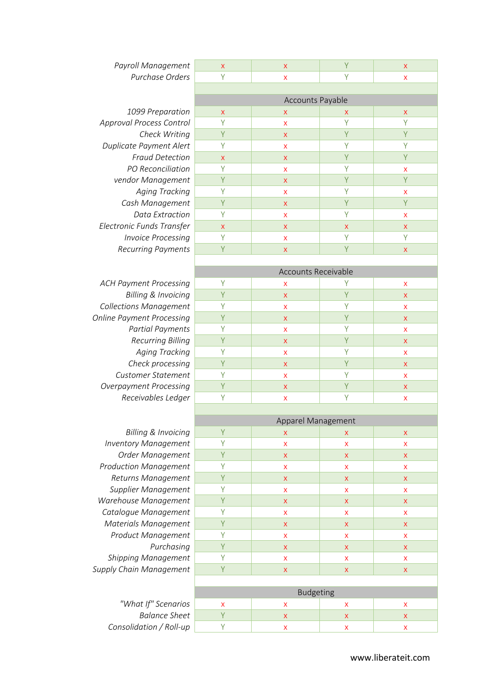1099 Preparation **Approval Process Control Check Writing Duplicate Payment Alert Fraud Detection** *PO Reconciliation vendor Management* **Aging Tracking** *Cash Management Data Extractior Electronic Funds Transfer Invoice Processing* **Recurring Payments** 

**ACH Payment Processing Billing & Invoicing Collections Management Online Payment Processing Partial Payments Recurring Billing Aging Tracking Check processing Customer Statement Overpayment Processing Receivables Ledger** 

| Billing & Invoicing          |
|------------------------------|
| <b>Inventory Management</b>  |
| Order Management             |
| <b>Production Management</b> |
| Returns Management           |
| Supplier Management          |
| Warehouse Management         |
| Catalogue Management         |
| Materials Management         |
| Product Management           |
| Purchasing                   |
| Shipping Management          |
| Supply Chain Management      |
|                              |

*"What If" Scenarios* **Balance Sheet** *Consolidation / Roll-up* 

| Payroll Management        | $\mathsf{x}$ | $\mathsf{x}$     |   | $\mathsf{X}$              |
|---------------------------|--------------|------------------|---|---------------------------|
| Purchase Orders           | Υ            | X                | Υ | $\mathsf{x}$              |
|                           |              |                  |   |                           |
|                           |              | Accounts Payable |   |                           |
| 1099 Preparation          | $\mathsf{X}$ | X                | X | $\mathsf{X}$              |
| roval Process Control     | Υ            | X                | Υ | γ                         |
| Check Writing             | Υ            | $\mathsf{x}$     | Υ | Y                         |
| plicate Payment Alert     | Υ            | X                | Υ | Y                         |
| <b>Fraud Detection</b>    | $\mathsf{x}$ | $\mathsf{x}$     | Y | Y                         |
| PO Reconciliation         |              | X                | γ | $\mathsf{x}$              |
| vendor Management         | Υ            | $\mathsf{x}$     | Υ | Y                         |
| <b>Aging Tracking</b>     | Υ            | X                | Υ | $\mathsf{x}$              |
| Cash Management           | Υ            | $\mathsf{x}$     | Υ | Y                         |
| Data Extraction           | Y            | X                | Υ | $\mathsf{x}$              |
| tronic Funds Transfer:    | $\mathsf{X}$ | $\mathsf{X}$     | X | $\mathsf{X}$              |
| <b>Invoice Processing</b> | Y            | X                | Υ | Y                         |
| <b>Recurring Payments</b> | Υ            | $\mathsf{x}$     | Υ | $\boldsymbol{\mathsf{X}}$ |
|                           |              |                  |   |                           |

| Accounts Receivable |                           |              |              |  |
|---------------------|---------------------------|--------------|--------------|--|
| v                   | X                         |              | X            |  |
| $\vee$              | $\boldsymbol{\mathsf{X}}$ | ٧            | $\mathsf{X}$ |  |
| v                   | X                         | ν            | X            |  |
| $\checkmark$        | $\boldsymbol{\mathsf{X}}$ | V            | $\mathsf{X}$ |  |
| $\vee$              | X                         | $\checkmark$ | X            |  |
| $\vee$              | $\mathsf{X}$              | $\sqrt{}$    | $\mathsf{X}$ |  |
| $\vee$              | X                         | $\checkmark$ | X            |  |
|                     | $\mathsf{x}$              |              | $\mathsf{x}$ |  |
| $\checkmark$        | X                         | $\checkmark$ | X            |  |
|                     | X                         |              | $\mathsf{X}$ |  |
|                     | X                         |              | x            |  |

|                              | Apparel Management |                  |              |              |
|------------------------------|--------------------|------------------|--------------|--------------|
| Billing & Invoicing          | Y                  | $\mathsf{x}$     | X            | $\mathsf{x}$ |
| <b>Inventory Management</b>  | Υ                  | $\mathsf{x}$     | X            | $\mathsf{x}$ |
| Order Management             | Y                  | $\mathsf{x}$     | X            | $\mathsf{x}$ |
| <b>Production Management</b> | Υ                  | $\mathsf{x}$     | X            | $\mathsf{x}$ |
| Returns Management           | Y                  | $\mathsf{x}$     | $\mathsf{x}$ | $\mathsf{x}$ |
| Supplier Management          | Υ                  | $\mathsf{x}$     | $\mathsf{x}$ | $\mathsf{x}$ |
| Warehouse Management         | Y                  | $\mathsf{x}$     | $\mathsf{x}$ | $\mathsf{x}$ |
| Catalogue Management         | Υ                  | $\mathsf{x}$     | $\mathsf{x}$ | $\mathsf{x}$ |
| Materials Management         | Y                  | $\mathsf{x}$     | $\mathsf{x}$ | $\mathsf{x}$ |
| Product Management           | Υ                  | $\mathsf{x}$     | $\mathsf{x}$ | $\mathsf{x}$ |
| Purchasing                   | Y                  | $\mathsf{x}$     | $\mathsf{x}$ | $\mathsf{x}$ |
| <b>Shipping Management</b>   | Υ                  | $\mathsf{x}$     | X            | $\mathsf{x}$ |
| Supply Chain Management      | Y                  | $\mathsf{X}$     | $\mathsf{X}$ | $\mathsf{X}$ |
|                              |                    |                  |              |              |
|                              |                    | <b>Budgeting</b> |              |              |
| "What If" Scenarios          | X                  | $\mathsf{x}$     | $\mathsf{x}$ | $\mathsf{x}$ |
| <b>Balance Sheet</b>         | Υ                  | $\mathsf{x}$     | $\mathsf{x}$ | $\mathsf{x}$ |
| Consolidation / Roll-un      | v                  | $\vee$           | $\vee$       | $\vee$       |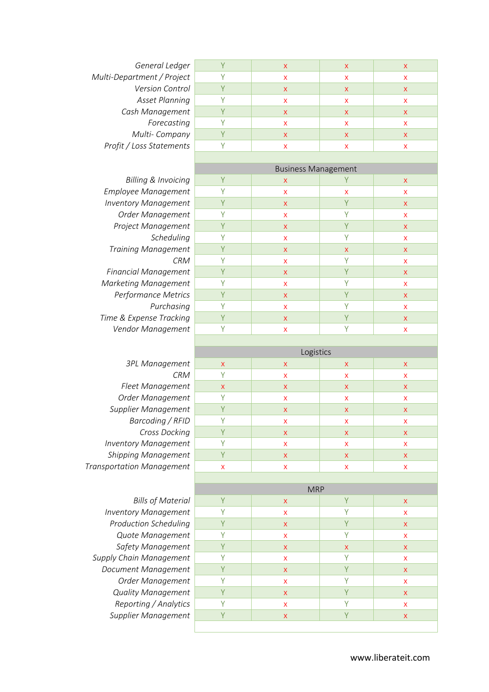| General Ledger             |   | x | х |
|----------------------------|---|---|---|
| Multi-Department / Project | x | X | x |
| Version Control            | x | X | X |
| <b>Asset Planning</b>      | x | X | x |
| Cash Management            | x | x | x |
| Forecasting                |   |   |   |
| Multi-Company              | x | x | Χ |
| Profit / Loss Statements   |   |   |   |
|                            |   |   |   |
|                            |   |   |   |

| 3PL Management              |
|-----------------------------|
| CRM                         |
| Fleet Management            |
| Order Management            |
| Supplier Management         |
| Barcoding / RFID            |
| Cross Docking               |
| <b>Inventory Management</b> |
| <b>Shipping Management</b>  |
| ansportation Management     |
|                             |

| X |                           | x |
|---|---------------------------|---|
|   |                           | х |
| X | $\boldsymbol{\mathsf{x}}$ | x |
|   |                           | х |
| X |                           | x |
| x |                           | х |
| X |                           | x |
|   |                           | x |
|   |                           |   |
|   |                           |   |

| Multi-Company                    | Y                  | X                          | x | X                         |
|----------------------------------|--------------------|----------------------------|---|---------------------------|
| Profit / Loss Statements         | Y                  | X                          | x | X                         |
|                                  |                    |                            |   |                           |
|                                  |                    | <b>Business Management</b> |   |                           |
| <b>Billing &amp; Invoicing</b>   | Y                  | X                          | Υ | $\boldsymbol{\mathsf{X}}$ |
| Employee Management              | Y                  | X                          | x | x                         |
| <b>Inventory Management</b>      | Y                  | X                          | Y | $\boldsymbol{\mathsf{X}}$ |
| Order Management                 | Υ                  | X                          | Υ | $\boldsymbol{\mathsf{X}}$ |
| Project Management               | Y                  | $\pmb{\mathsf{X}}$         | Y | X                         |
| Scheduling                       | Y                  | X                          | Υ | X                         |
| <b>Training Management</b>       | Y                  | $\pmb{\mathsf{X}}$         | X | $\pmb{\times}$            |
| <b>CRM</b>                       | Y                  | X                          | Y | $\boldsymbol{\mathsf{x}}$ |
| <b>Financial Management</b>      | Y                  | $\pmb{\mathsf{X}}$         | Ÿ | $\pmb{\times}$            |
| <b>Marketing Management</b>      | Υ                  | X                          | Υ | $\boldsymbol{\mathsf{X}}$ |
| Performance Metrics              | Y                  | $\mathsf X$                | Ÿ | $\pmb{\times}$            |
| Purchasing                       | Y                  | X                          | Y | X                         |
| Time & Expense Tracking          | Y                  | $\pmb{\mathsf{X}}$         | Y | $\mathsf X$               |
| Vendor Management                | Y                  | $\mathsf{x}$               | Y | X                         |
|                                  |                    |                            |   |                           |
|                                  |                    | Logistics                  |   |                           |
| 3PL Management                   | $\pmb{\mathsf{X}}$ | X                          | X | $\pmb{\mathsf{X}}$        |
| <b>CRM</b>                       | Y                  | X                          | x | $\boldsymbol{\mathsf{x}}$ |
| Fleet Management                 | X                  | X                          | X | X                         |
| Order Management                 | Y                  | X                          | x | $\boldsymbol{\mathsf{X}}$ |
| Supplier Management              | Y                  | X                          | X | $\boldsymbol{\mathsf{X}}$ |
| Barcoding / RFID                 | Υ                  | X                          | x | X                         |
| Cross Docking                    | Y                  | $\mathsf{x}$               | X | $\pmb{\times}$            |
| <b>Inventory Management</b>      | Υ                  | X                          | x | X                         |
| Shipping Management              | Y                  | $\pmb{\mathsf{X}}$         | X | $\pmb{\times}$            |
| <b>Transportation Management</b> | X                  | X                          | x | X                         |
|                                  |                    |                            |   |                           |
|                                  |                    | <b>MRP</b>                 |   |                           |
| <b>Bills of Material</b>         |                    | $\mathsf{x}$               |   | $\pmb{\mathsf{X}}$        |
| <b>Inventory Management</b>      | Υ                  | X                          | Υ | x                         |
| <b>Production Scheduling</b>     | Y                  | X                          | Y | X                         |
| Quote Management                 | Υ                  | X                          | Y | $\boldsymbol{\mathsf{x}}$ |
| Safety Management                | Y                  | $\mathsf{X}$               | X | $\pmb{\times}$            |
| Supply Chain Management          | Y                  | X                          | Υ | X                         |
| Document Management              | Y                  | $\mathsf X$                | Y | $\mathsf X$               |
| Order Management                 | Υ                  | $\mathsf{x}$               | Ÿ | $\pmb{\mathsf{X}}$        |
| <b>Quality Management</b>        | Y                  | $\mathsf X$                | Y | $\pmb{\mathsf{X}}$        |
| Reporting / Analytics            | Y                  | $\pmb{\mathsf{X}}$         | Υ | $\pmb{\mathsf{X}}$        |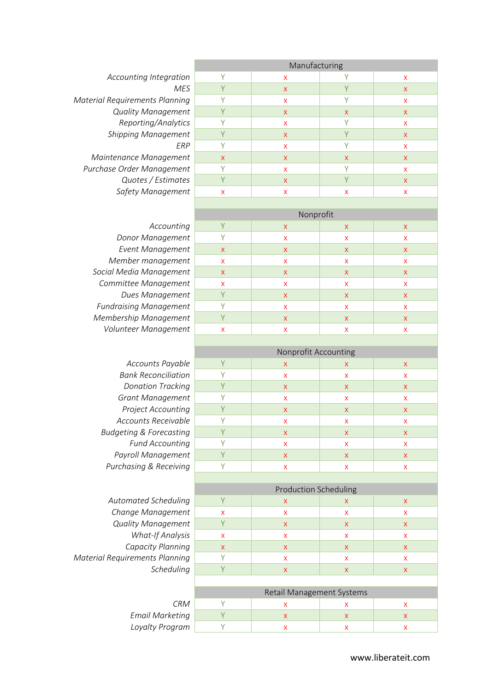*Accounting Integration Material Requirements Planning* **Quality Management**  $Reporting/Analytics$ **Shipping Management** *Maintenance Management* 

**Purchase Order Management Quotes / Estimates Safety Management** 

|            | Manufacturing |                           |              |              |  |
|------------|---------------|---------------------------|--------------|--------------|--|
| ation      | γ             | $\boldsymbol{\mathsf{X}}$ |              | X            |  |
| <b>MES</b> | Υ             | $\mathsf{X}$              | Y            | $\mathsf{x}$ |  |
| ning       | γ             | $\boldsymbol{\mathsf{X}}$ | Υ            | X            |  |
| nent       | Υ             | $\mathsf{X}$              | $\mathsf{x}$ | X            |  |
| ytics      | ٧             | X                         | γ            | X            |  |
| nent       | Υ             | $\mathsf{X}$              | Υ            | X            |  |
| ERP        | Υ             | $\boldsymbol{\mathsf{X}}$ | γ            | X            |  |
| nent       | $\mathsf{X}$  | $\boldsymbol{\mathsf{X}}$ | $\mathsf{x}$ | $\mathsf{x}$ |  |
| nent       | γ             | X                         | γ            | X            |  |
| ates       | Υ             | $\boldsymbol{\mathsf{X}}$ | Υ            | X            |  |
| nent       | X             | X                         | X            | X            |  |
|            |               |                           |              |              |  |

Accounting **Donor Management Event Management Member management Social Media Management** *Committee Management* **Dues Management Fundraising Management Membership Management** *Volunteer Management* 

| Accounts Payable                   |
|------------------------------------|
| <b>Bank Reconciliatior</b>         |
| <b>Donation Tracking</b>           |
| Grant Management                   |
| Project Accounting                 |
| Accounts Receivable                |
| <b>Budgeting &amp; Forecasting</b> |
| <b>Fund Accounting</b>             |
| Payroll Management                 |
| Purchasing & Receiving             |

| <b>Automated Schedulin</b>    |
|-------------------------------|
| Change Managemer              |
| <b>Quality Managemer</b>      |
| <b>What-If Analys</b>         |
| Capacity Plannin              |
| Material Requirements Plannin |
| Schedulin                     |
|                               |

|                 | CRM |
|-----------------|-----|
| Email Marketing |     |
| Loyalty Program |     |

| Nonprofit          |                           |                           |                           |  |  |
|--------------------|---------------------------|---------------------------|---------------------------|--|--|
| Y                  | X                         | $\mathsf{X}$              | $\mathsf{x}$              |  |  |
| γ                  | X                         | X                         | X                         |  |  |
| $\mathsf{X}$       | X                         | $\mathsf{x}$              | $\mathsf{x}$              |  |  |
| X                  | X                         | X                         | X                         |  |  |
| $\pmb{\mathsf{X}}$ | X                         | $\boldsymbol{\mathsf{X}}$ | X                         |  |  |
| X                  | X                         | X                         | X                         |  |  |
| Y                  | $\mathsf{x}$              | $\mathsf{x}$              | X                         |  |  |
| ٧                  | X                         | X                         | X                         |  |  |
| Y                  | $\boldsymbol{\mathsf{x}}$ | $\mathsf{x}$              | $\boldsymbol{\mathsf{X}}$ |  |  |
| X                  | X                         | x                         | X                         |  |  |

|                                    | Nonprofit Accounting |   |   |   |  |
|------------------------------------|----------------------|---|---|---|--|
| Accounts Payable                   |                      | X | x | x |  |
| <b>Bank Reconciliation</b>         |                      | x | x | x |  |
| <b>Donation Tracking</b>           |                      | X | x | X |  |
| <b>Grant Management</b>            |                      | x | x | x |  |
| <b>Project Accounting</b>          |                      | X | X | X |  |
| Accounts Receivable                |                      | x | x | x |  |
| <b>Budgeting &amp; Forecasting</b> |                      | x | x | x |  |
| <b>Fund Accounting</b>             |                      | x | x | x |  |
| Payroll Management                 |                      | X | X | x |  |
| Purchasing & Receiving             |                      |   |   | x |  |

|                                | <b>Production Scheduling</b>     |   |              |              |
|--------------------------------|----------------------------------|---|--------------|--------------|
| Automated Scheduling           |                                  | X | X            | X.           |
| Change Management              | X                                | X | X            | X            |
| <b>Quality Management</b>      | γ                                | X | X            | X            |
| <b>What-If Analysis</b>        | X                                | X | X            | X            |
| Capacity Planning              | $\mathsf{x}$                     | X | X            | $\mathsf{X}$ |
| Material Requirements Planning |                                  | X | X            | X            |
| Scheduling                     |                                  | X | $\mathsf{x}$ | X            |
|                                |                                  |   |              |              |
|                                | <b>Retail Management Systems</b> |   |              |              |
| <b>CRM</b>                     |                                  | X | X            | x            |
| <b>Email Marketing</b>         | V                                | X | $\mathsf{x}$ | x            |
| Loyalty Program                |                                  | X | X            | X            |